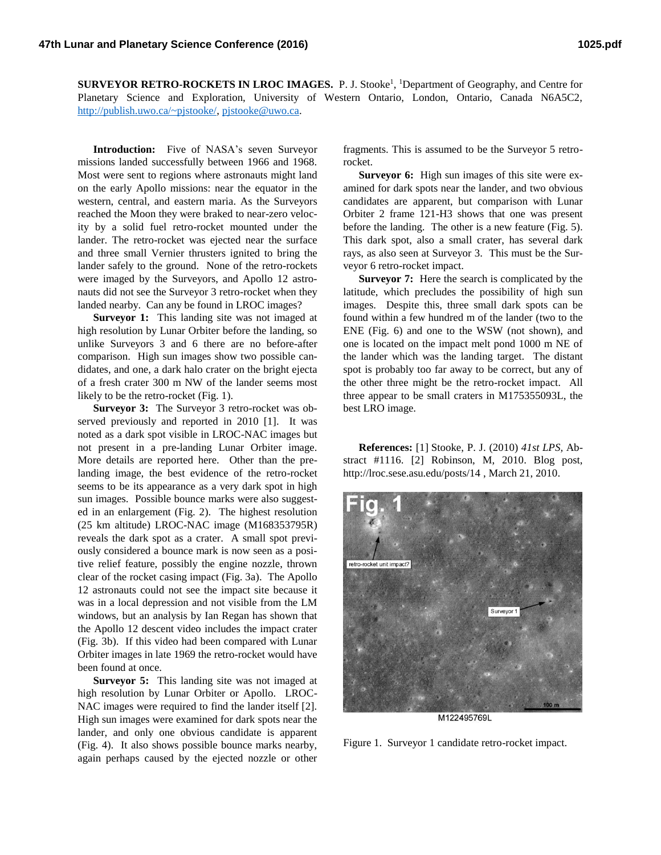**SURVEYOR RETRO-ROCKETS IN LROC IMAGES.** P. J. Stooke<sup>1</sup>, <sup>1</sup>Department of Geography, and Centre for Planetary Science and Exploration, University of Western Ontario, London, Ontario, Canada N6A5C2, [http://publish.uwo.ca/~pjstooke/,](http://publish.uwo.ca/~pjstooke/) [pjstooke@uwo.ca.](mailto:pjstooke@uwo.ca)

**Introduction:** Five of NASA's seven Surveyor missions landed successfully between 1966 and 1968. Most were sent to regions where astronauts might land on the early Apollo missions: near the equator in the western, central, and eastern maria. As the Surveyors reached the Moon they were braked to near-zero velocity by a solid fuel retro-rocket mounted under the lander. The retro-rocket was ejected near the surface and three small Vernier thrusters ignited to bring the lander safely to the ground. None of the retro-rockets were imaged by the Surveyors, and Apollo 12 astronauts did not see the Surveyor 3 retro-rocket when they landed nearby. Can any be found in LROC images?

**Surveyor 1:** This landing site was not imaged at high resolution by Lunar Orbiter before the landing, so unlike Surveyors 3 and 6 there are no before-after comparison. High sun images show two possible candidates, and one, a dark halo crater on the bright ejecta of a fresh crater 300 m NW of the lander seems most likely to be the retro-rocket (Fig. 1).

**Surveyor 3:** The Surveyor 3 retro-rocket was observed previously and reported in 2010 [1]. It was noted as a dark spot visible in LROC-NAC images but not present in a pre-landing Lunar Orbiter image. More details are reported here. Other than the prelanding image, the best evidence of the retro-rocket seems to be its appearance as a very dark spot in high sun images. Possible bounce marks were also suggested in an enlargement (Fig. 2). The highest resolution (25 km altitude) LROC-NAC image (M168353795R) reveals the dark spot as a crater. A small spot previously considered a bounce mark is now seen as a positive relief feature, possibly the engine nozzle, thrown clear of the rocket casing impact (Fig. 3a). The Apollo 12 astronauts could not see the impact site because it was in a local depression and not visible from the LM windows, but an analysis by Ian Regan has shown that the Apollo 12 descent video includes the impact crater (Fig. 3b). If this video had been compared with Lunar Orbiter images in late 1969 the retro-rocket would have been found at once.

**Surveyor 5:** This landing site was not imaged at high resolution by Lunar Orbiter or Apollo. LROC-NAC images were required to find the lander itself [2]. High sun images were examined for dark spots near the lander, and only one obvious candidate is apparent (Fig. 4). It also shows possible bounce marks nearby, again perhaps caused by the ejected nozzle or other fragments. This is assumed to be the Surveyor 5 retrorocket.

**Surveyor 6:** High sun images of this site were examined for dark spots near the lander, and two obvious candidates are apparent, but comparison with Lunar Orbiter 2 frame 121-H3 shows that one was present before the landing. The other is a new feature (Fig. 5). This dark spot, also a small crater, has several dark rays, as also seen at Surveyor 3. This must be the Surveyor 6 retro-rocket impact.

**Surveyor 7:** Here the search is complicated by the latitude, which precludes the possibility of high sun images. Despite this, three small dark spots can be found within a few hundred m of the lander (two to the ENE (Fig. 6) and one to the WSW (not shown), and one is located on the impact melt pond 1000 m NE of the lander which was the landing target. The distant spot is probably too far away to be correct, but any of the other three might be the retro-rocket impact. All three appear to be small craters in M175355093L, the best LRO image.

**References:** [1] Stooke, P. J. (2010) *41st LPS,* Abstract #1116. [2] Robinson, M, 2010. Blog post, http://lroc.sese.asu.edu/posts/14 , March 21, 2010.



Figure 1. Surveyor 1 candidate retro-rocket impact.